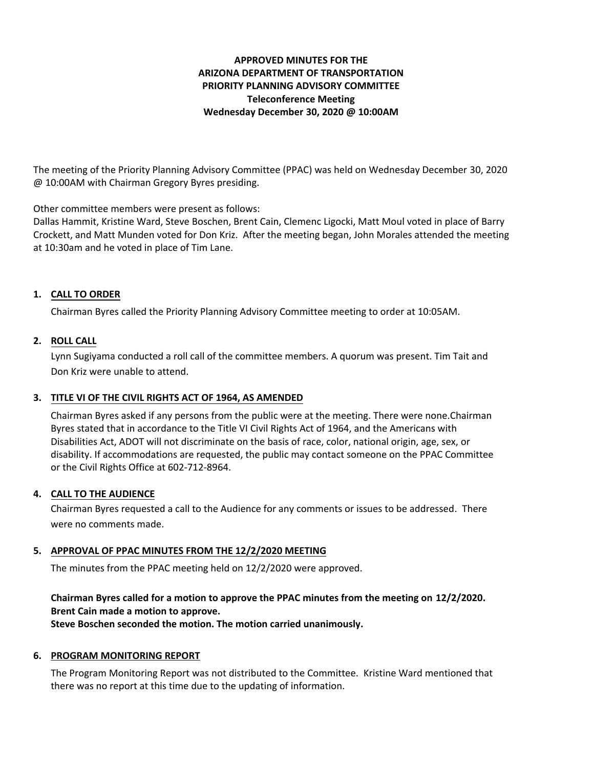# **APPROVED MINUTES FOR THE ARIZONA DEPARTMENT OF TRANSPORTATION PRIORITY PLANNING ADVISORY COMMITTEE Teleconference Meeting Wednesday December 30, 2020 @ 10:00AM**

The meeting of the Priority Planning Advisory Committee (PPAC) was held on Wednesday December 30, 2020 @ 10:00AM with Chairman Gregory Byres presiding.

Other committee members were present as follows:

Dallas Hammit, Kristine Ward, Steve Boschen, Brent Cain, Clemenc Ligocki, Matt Moul voted in place of Barry Crockett, and Matt Munden voted for Don Kriz. After the meeting began, John Morales attended the meeting at 10:30am and he voted in place of Tim Lane.

## **CALL TO ORDER 1.**

Chairman Byres called the Priority Planning Advisory Committee meeting to order at 10:05AM.

## **ROLL CALL 2.**

Lynn Sugiyama conducted a roll call of the committee members. A quorum was present. Tim Tait and Don Kriz were unable to attend.

### **TITLE VI OF THE CIVIL RIGHTS ACT OF 1964, AS AMENDED 3.**

Chairman Byres asked if any persons from the public were at the meeting. There were none.Chairman Byres stated that in accordance to the Title VI Civil Rights Act of 1964, and the Americans with Disabilities Act, ADOT will not discriminate on the basis of race, color, national origin, age, sex, or disability. If accommodations are requested, the public may contact someone on the PPAC Committee or the Civil Rights Office at 602-712-8964.

#### **CALL TO THE AUDIENCE 4.**

Chairman Byres requested a call to the Audience for any comments or issues to be addressed. There were no comments made.

## **APPROVAL OF PPAC MINUTES FROM THE 12/2/2020 MEETING 5.**

The minutes from the PPAC meeting held on 12/2/2020 were approved.

## **Chairman Byres called for a motion to approve the PPAC minutes from the meeting on 12/2/2020. Brent Cain made a motion to approve. Steve Boschen seconded the motion. The motion carried unanimously.**

# **6. PROGRAM MONITORING REPORT**

The Program Monitoring Report was not distributed to the Committee. Kristine Ward mentioned that there was no report at this time due to the updating of information.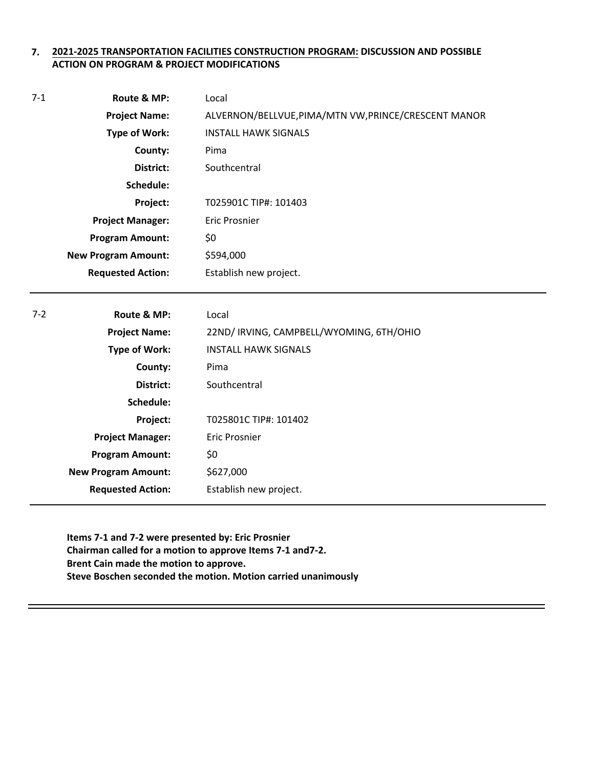#### **2021-2025 TRANSPORTATION FACILITIES CONSTRUCTION PROGRAM: DISCUSSION AND POSSIBLE 7. ACTION ON PROGRAM & PROJECT MODIFICATIONS**

| $7-1$   | Route & MP:                | Local                                                |
|---------|----------------------------|------------------------------------------------------|
|         | <b>Project Name:</b>       | ALVERNON/BELLVUE, PIMA/MTN VW, PRINCE/CRESCENT MANOR |
|         | <b>Type of Work:</b>       | <b>INSTALL HAWK SIGNALS</b>                          |
|         | County:                    | Pima                                                 |
|         | District:                  | Southcentral                                         |
|         | Schedule:                  |                                                      |
|         | Project:                   | T025901C TIP#: 101403                                |
|         | <b>Project Manager:</b>    | <b>Eric Prosnier</b>                                 |
|         | <b>Program Amount:</b>     | \$0                                                  |
|         | <b>New Program Amount:</b> | \$594,000                                            |
|         | <b>Requested Action:</b>   | Establish new project.                               |
|         |                            |                                                      |
| $7 - 2$ | Route & MP:                | Local                                                |
|         | <b>Project Name:</b>       | 22ND/ IRVING, CAMPBELL/WYOMING, 6TH/OHIO             |
|         | <b>Type of Work:</b>       | <b>INSTALL HAWK SIGNALS</b>                          |
|         | County:                    | Pima                                                 |
|         | <b>District:</b>           | Southcentral                                         |
|         | Schedule:                  |                                                      |
|         | Project:                   | T025801C TIP#: 101402                                |
|         | <b>Project Manager:</b>    | <b>Eric Prosnier</b>                                 |
|         | <b>Program Amount:</b>     | \$0                                                  |
|         | <b>New Program Amount:</b> | \$627,000                                            |
|         |                            |                                                      |
|         | <b>Requested Action:</b>   | Establish new project.                               |

**Items 7-1 and 7-2 were presented by: Eric Prosnier Chairman called for a motion to approve Items 7-1 and7-2. Brent Cain made the motion to approve. Steve Boschen seconded the motion. Motion carried unanimously**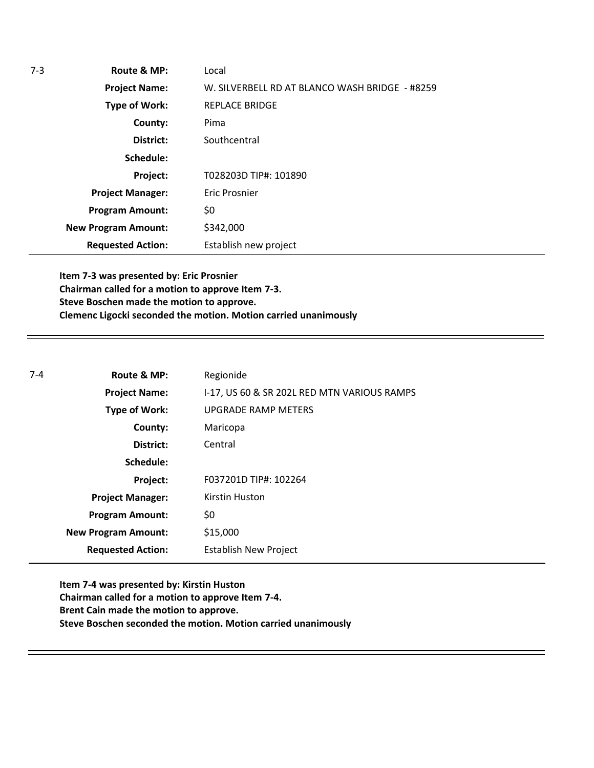| 7-3 | Route & MP:                | Local                                          |  |
|-----|----------------------------|------------------------------------------------|--|
|     | <b>Project Name:</b>       | W. SILVERBELL RD AT BLANCO WASH BRIDGE - #8259 |  |
|     | Type of Work:              | <b>REPLACE BRIDGE</b>                          |  |
|     | County:                    | Pima                                           |  |
|     | District:                  | Southcentral                                   |  |
|     | Schedule:                  |                                                |  |
|     | Project:                   | T028203D TIP#: 101890                          |  |
|     | <b>Project Manager:</b>    | Eric Prosnier                                  |  |
|     | <b>Program Amount:</b>     | \$0                                            |  |
|     | <b>New Program Amount:</b> | \$342,000                                      |  |
|     | <b>Requested Action:</b>   | Establish new project                          |  |

**Item 7-3 was presented by: Eric Prosnier Chairman called for a motion to approve Item 7-3. Steve Boschen made the motion to approve. Clemenc Ligocki seconded the motion. Motion carried unanimously**

| $7 - 4$ | Route & MP:                | Regionide                                   |
|---------|----------------------------|---------------------------------------------|
|         | <b>Project Name:</b>       | I-17, US 60 & SR 202L RED MTN VARIOUS RAMPS |
|         | Type of Work:              | <b>UPGRADE RAMP METERS</b>                  |
|         | County:                    | Maricopa                                    |
|         | District:                  | Central                                     |
|         | Schedule:                  |                                             |
|         | Project:                   | F037201D TIP#: 102264                       |
|         | <b>Project Manager:</b>    | Kirstin Huston                              |
|         | <b>Program Amount:</b>     | \$0                                         |
|         | <b>New Program Amount:</b> | \$15,000                                    |
|         | <b>Requested Action:</b>   | <b>Establish New Project</b>                |

**Item 7-4 was presented by: Kirstin Huston Chairman called for a motion to approve Item 7-4. Brent Cain made the motion to approve. Steve Boschen seconded the motion. Motion carried unanimously**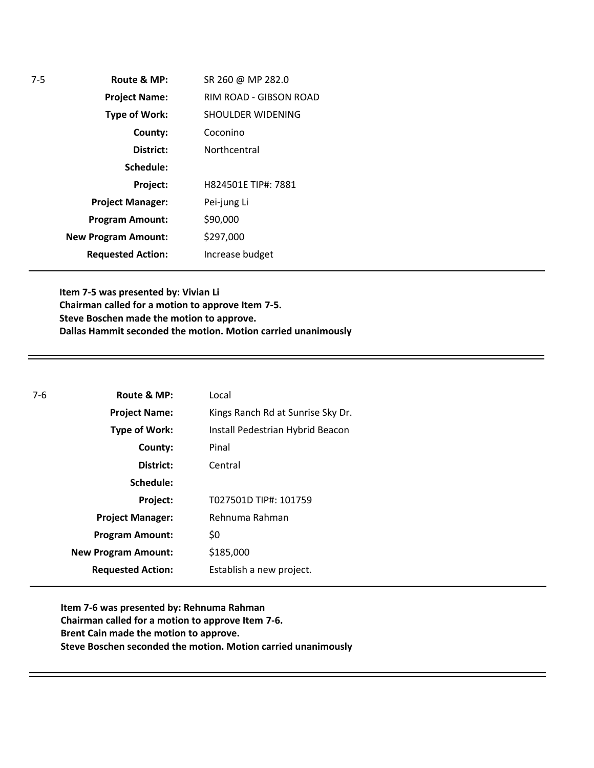| Route & MP:                | SR 260 @ MP 282.0      |
|----------------------------|------------------------|
| <b>Project Name:</b>       | RIM ROAD - GIBSON ROAD |
| <b>Type of Work:</b>       | SHOULDER WIDENING      |
| County:                    | Coconino               |
| District:                  | Northcentral           |
| Schedule:                  |                        |
| Project:                   | H824501E TIP#: 7881    |
| <b>Project Manager:</b>    | Pei-jung Li            |
| <b>Program Amount:</b>     | \$90,000               |
| <b>New Program Amount:</b> | \$297,000              |
| <b>Requested Action:</b>   | Increase budget        |

**Item 7-5 was presented by: Vivian Li Chairman called for a motion to approve Item 7-5. Steve Boschen made the motion to approve. Dallas Hammit seconded the motion. Motion carried unanimously**

| $7-6$ | Route & MP:                | Local                             |
|-------|----------------------------|-----------------------------------|
|       | <b>Project Name:</b>       | Kings Ranch Rd at Sunrise Sky Dr. |
|       | Type of Work:              | Install Pedestrian Hybrid Beacon  |
|       | County:                    | Pinal                             |
|       | District:                  | Central                           |
|       | Schedule:                  |                                   |
|       | Project:                   | T027501D TIP#: 101759             |
|       | <b>Project Manager:</b>    | Rehnuma Rahman                    |
|       | <b>Program Amount:</b>     | \$0                               |
|       | <b>New Program Amount:</b> | \$185,000                         |
|       | <b>Requested Action:</b>   | Establish a new project.          |

**Item 7-6 was presented by: Rehnuma Rahman Chairman called for a motion to approve Item 7-6. Brent Cain made the motion to approve. Steve Boschen seconded the motion. Motion carried unanimously**

7-5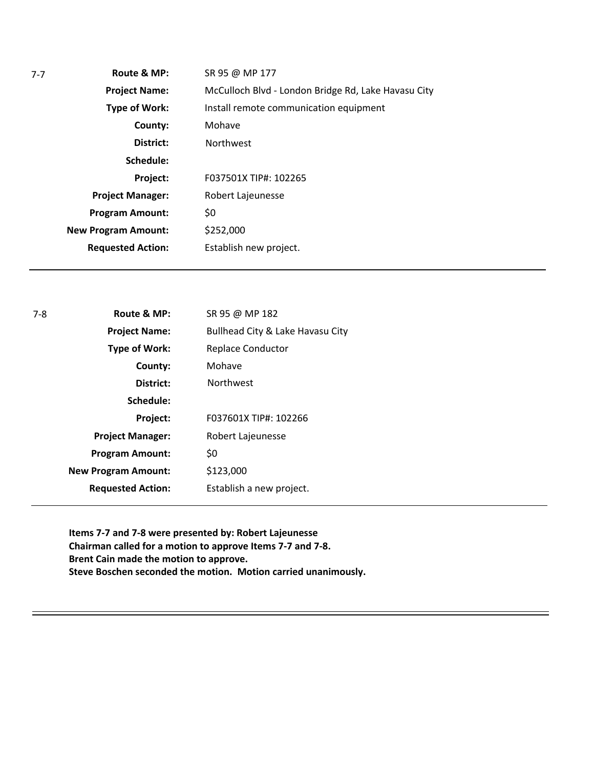| SR 95 @ MP 177                                      |
|-----------------------------------------------------|
| McCulloch Blvd - London Bridge Rd, Lake Havasu City |
| Install remote communication equipment              |
| Mohave                                              |
| <b>Northwest</b>                                    |
|                                                     |
| F037501X TIP#: 102265                               |
| Robert Lajeunesse                                   |
| \$0                                                 |
| \$252,000                                           |
| Establish new project.                              |
|                                                     |

| $7-8$ | Route & MP:                | SR 95 @ MP 182                   |
|-------|----------------------------|----------------------------------|
|       | <b>Project Name:</b>       | Bullhead City & Lake Havasu City |
|       | <b>Type of Work:</b>       | <b>Replace Conductor</b>         |
|       | County:                    | Mohave                           |
|       | District:                  | <b>Northwest</b>                 |
|       | Schedule:                  |                                  |
|       | Project:                   | F037601X TIP#: 102266            |
|       | <b>Project Manager:</b>    | Robert Lajeunesse                |
|       | <b>Program Amount:</b>     | \$0                              |
|       | <b>New Program Amount:</b> | \$123,000                        |
|       | <b>Requested Action:</b>   | Establish a new project.         |
|       |                            |                                  |

**Items 7-7 and 7-8 were presented by: Robert Lajeunesse Chairman called for a motion to approve Items 7-7 and 7-8. Brent Cain made the motion to approve. Steve Boschen seconded the motion. Motion carried unanimously.**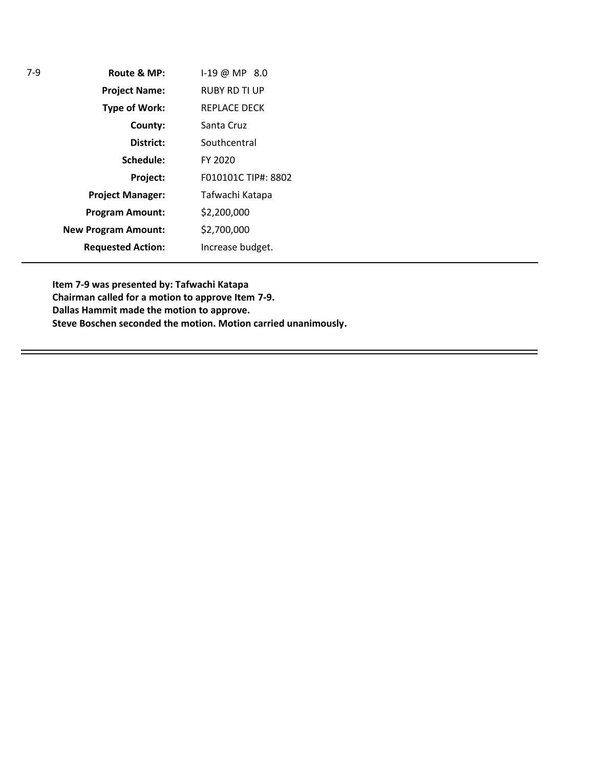| Route & MP:                | 1-19 @ MP 8.0        |
|----------------------------|----------------------|
| <b>Project Name:</b>       | <b>RUBY RD TI UP</b> |
| Type of Work:              | <b>REPLACE DECK</b>  |
| County:                    | Santa Cruz           |
| District:                  | Southcentral         |
| Schedule:                  | FY 2020              |
| Project:                   | F010101C TIP#: 8802  |
| <b>Project Manager:</b>    | Tafwachi Katapa      |
| <b>Program Amount:</b>     | \$2,200,000          |
| <b>New Program Amount:</b> | \$2,700,000          |
| <b>Requested Action:</b>   | Increase budget.     |
|                            |                      |

7-9

**Item 7-9 was presented by: Tafwachi Katapa Chairman called for a motion to approve Item 7-9. Dallas Hammit made the motion to approve. Steve Boschen seconded the motion. Motion carried unanimously.**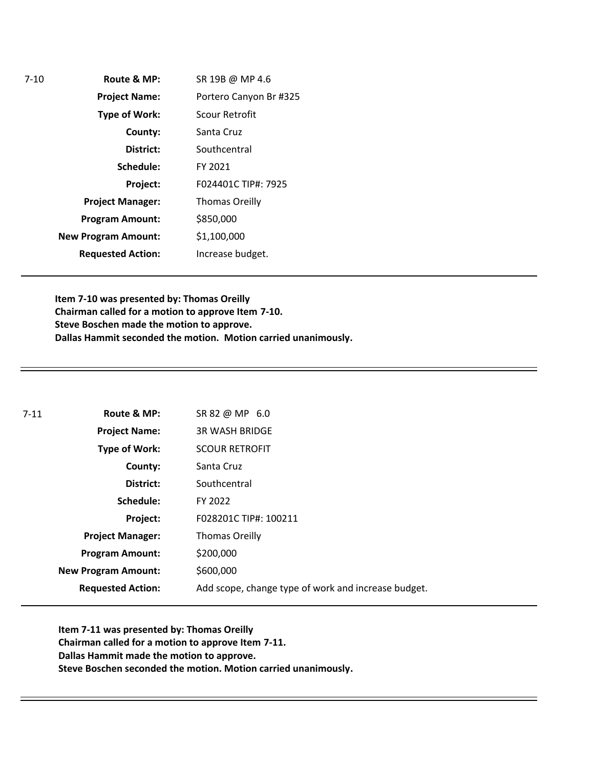**Route & MP: County: District: Schedule: Project Name: Type of Work: Project Manager: Project: Requested Action: New Program Amount:** 7-10 **Program Amount:** SR 19B @ MP 4.6 Portero Canyon Br #325 Scour Retrofit Santa Cruz **Southcentral** FY 2021 F024401C TIP#: 7925 Thomas Oreilly \$850,000 \$1,100,000 Increase budget.

> **Item 7-10 was presented by: Thomas Oreilly Chairman called for a motion to approve Item 7-10. Steve Boschen made the motion to approve. Dallas Hammit seconded the motion. Motion carried unanimously.**

| $7 - 11$ | Route & MP:                | SR 82 @ MP 6.0                                      |
|----------|----------------------------|-----------------------------------------------------|
|          | <b>Project Name:</b>       | <b>3R WASH BRIDGE</b>                               |
|          | <b>Type of Work:</b>       | <b>SCOUR RETROFIT</b>                               |
|          | County:                    | Santa Cruz                                          |
|          | District:                  | Southcentral                                        |
|          | Schedule:                  | FY 2022                                             |
|          | Project:                   | F028201C TIP#: 100211                               |
|          | <b>Project Manager:</b>    | <b>Thomas Oreilly</b>                               |
|          | <b>Program Amount:</b>     | \$200,000                                           |
|          | <b>New Program Amount:</b> | \$600,000                                           |
|          | <b>Requested Action:</b>   | Add scope, change type of work and increase budget. |

**Item 7-11 was presented by: Thomas Oreilly Chairman called for a motion to approve Item 7-11. Dallas Hammit made the motion to approve. Steve Boschen seconded the motion. Motion carried unanimously.**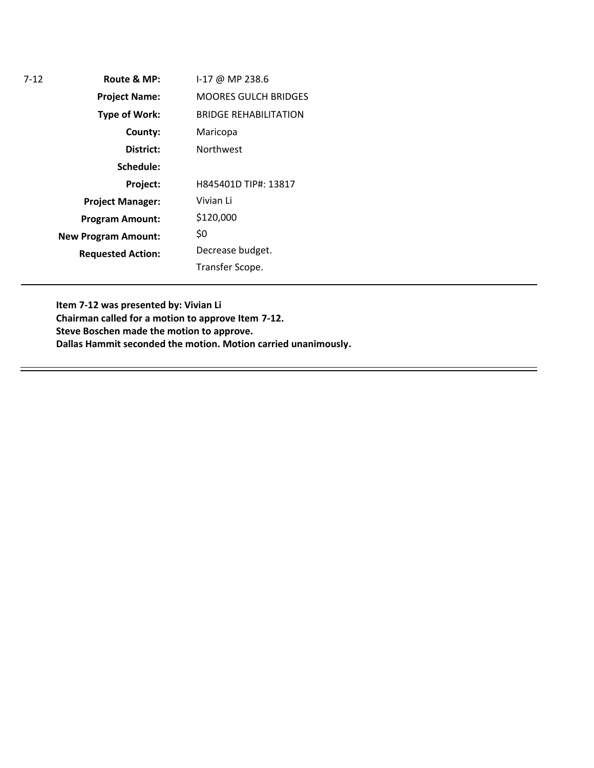**Route & MP: County: District: Schedule: Project Name: Type of Work: Project Manager: Project: Requested Action: New Program Amount:** 7-12 **Program Amount:** I-17 @ MP 238.6 MOORES GULCH BRIDGES BRIDGE REHABILITATION Maricopa Northwest H845401D TIP#: 13817 Vivian Li \$120,000 \$0 Decrease budget. Transfer Scope.

> **Item 7-12 was presented by: Vivian Li Chairman called for a motion to approve Item 7-12. Steve Boschen made the motion to approve. Dallas Hammit seconded the motion. Motion carried unanimously.**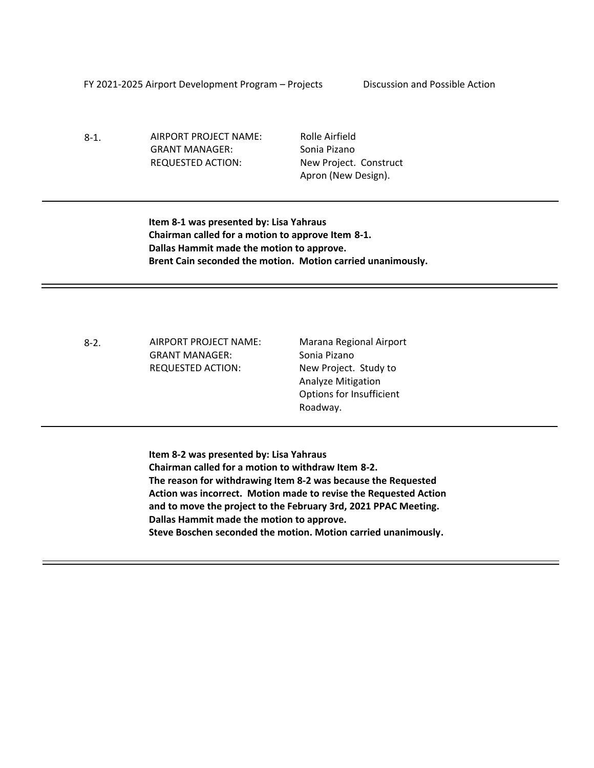FY 2021-2025 Airport Development Program – Projects Discussion and Possible Action

8-1. AIRPORT PROJECT NAME: GRANT MANAGER: REQUESTED ACTION:

Rolle Airfield Sonia Pizano New Project. Construct Apron (New Design).

**Item 8-1 was presented by: Lisa Yahraus Chairman called for a motion to approve Item 8-1. Dallas Hammit made the motion to approve. Brent Cain seconded the motion. Motion carried unanimously.**

8-2. AIRPORT PROJECT NAME: GRANT MANAGER: REQUESTED ACTION:

Marana Regional Airport Sonia Pizano New Project. Study to Analyze Mitigation Options for Insufficient Roadway.

**Item 8-2 was presented by: Lisa Yahraus Chairman called for a motion to withdraw Item 8-2. The reason for withdrawing Item 8-2 was because the Requested Action was incorrect. Motion made to revise the Requested Action and to move the project to the February 3rd, 2021 PPAC Meeting. Dallas Hammit made the motion to approve. Steve Boschen seconded the motion. Motion carried unanimously.**